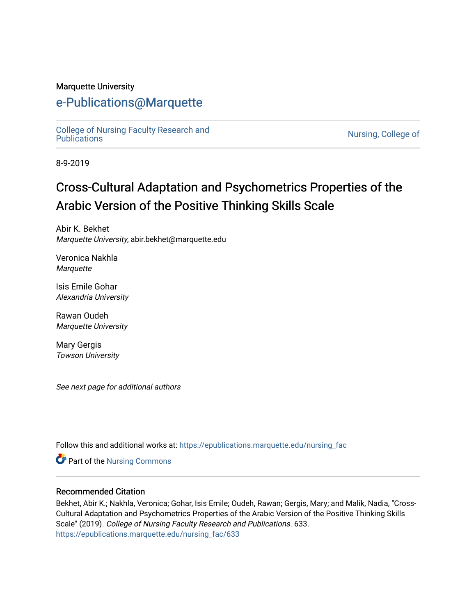#### Marquette University

## [e-Publications@Marquette](https://epublications.marquette.edu/)

[College of Nursing Faculty Research and](https://epublications.marquette.edu/nursing_fac)<br>Publications

Nursing, College of

8-9-2019

# Cross-Cultural Adaptation and Psychometrics Properties of the Arabic Version of the Positive Thinking Skills Scale

Abir K. Bekhet Marquette University, abir.bekhet@marquette.edu

Veronica Nakhla **Marquette** 

Isis Emile Gohar Alexandria University

Rawan Oudeh Marquette University

Mary Gergis Towson University

See next page for additional authors

Follow this and additional works at: [https://epublications.marquette.edu/nursing\\_fac](https://epublications.marquette.edu/nursing_fac?utm_source=epublications.marquette.edu%2Fnursing_fac%2F633&utm_medium=PDF&utm_campaign=PDFCoverPages)

Part of the [Nursing Commons](http://network.bepress.com/hgg/discipline/718?utm_source=epublications.marquette.edu%2Fnursing_fac%2F633&utm_medium=PDF&utm_campaign=PDFCoverPages) 

#### Recommended Citation

Bekhet, Abir K.; Nakhla, Veronica; Gohar, Isis Emile; Oudeh, Rawan; Gergis, Mary; and Malik, Nadia, "Cross-Cultural Adaptation and Psychometrics Properties of the Arabic Version of the Positive Thinking Skills Scale" (2019). College of Nursing Faculty Research and Publications. 633. [https://epublications.marquette.edu/nursing\\_fac/633](https://epublications.marquette.edu/nursing_fac/633?utm_source=epublications.marquette.edu%2Fnursing_fac%2F633&utm_medium=PDF&utm_campaign=PDFCoverPages)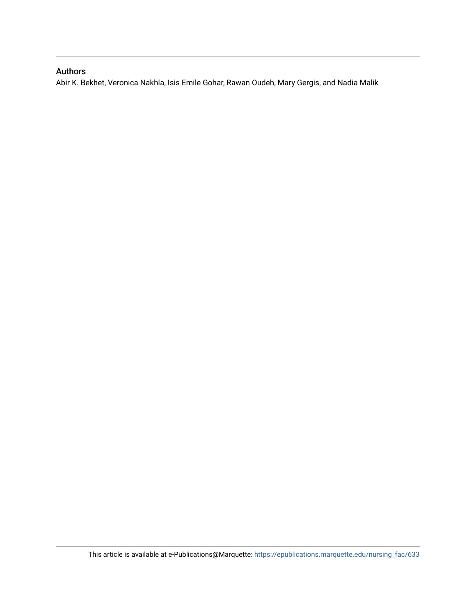#### Authors

Abir K. Bekhet, Veronica Nakhla, Isis Emile Gohar, Rawan Oudeh, Mary Gergis, and Nadia Malik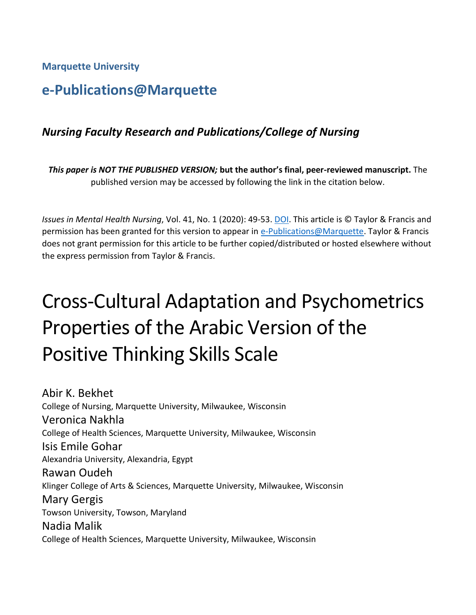**Marquette University**

## **e-Publications@Marquette**

## *Nursing Faculty Research and Publications/College of Nursing*

*This paper is NOT THE PUBLISHED VERSION;* **but the author's final, peer-reviewed manuscript.** The published version may be accessed by following the link in the citation below.

*Issues in Mental Health Nursing*, Vol. 41, No. 1 (2020): 49-53. [DOI.](https://doi.org/10.1080/01612840.2019.1631415) This article is © Taylor & Francis and permission has been granted for this version to appear in [e-Publications@Marquette.](http://epublications.marquette.edu/) Taylor & Francis does not grant permission for this article to be further copied/distributed or hosted elsewhere without the express permission from Taylor & Francis.

# Cross-Cultural Adaptation and Psychometrics Properties of the Arabic Version of the Positive Thinking Skills Scale

Abir K. Bekhet College of Nursing, Marquette University, Milwaukee, Wisconsin Veronica Nakhla College of Health Sciences, Marquette University, Milwaukee, Wisconsin Isis Emile Gohar Alexandria University, Alexandria, Egypt Rawan Oudeh Klinger College of Arts & Sciences, Marquette University, Milwaukee, Wisconsin Mary Gergis Towson University, Towson, Maryland Nadia Malik College of Health Sciences, Marquette University, Milwaukee, Wisconsin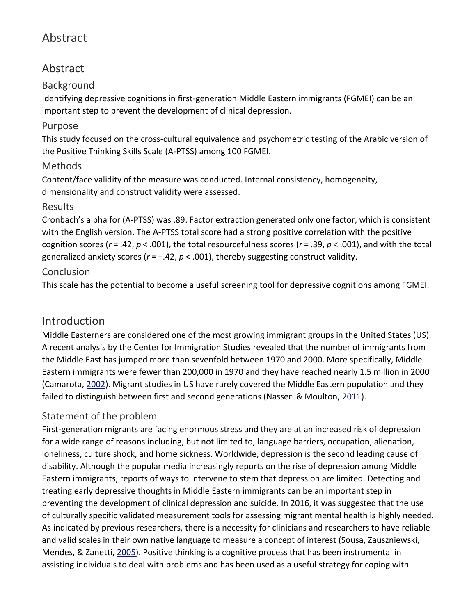## Abstract

## Abstract

## Background

Identifying depressive cognitions in first-generation Middle Eastern immigrants (FGMEI) can be an important step to prevent the development of clinical depression.

## Purpose

This study focused on the cross-cultural equivalence and psychometric testing of the Arabic version of the Positive Thinking Skills Scale (A-PTSS) among 100 FGMEI.

## Methods

Content/face validity of the measure was conducted. Internal consistency, homogeneity, dimensionality and construct validity were assessed.

## Results

Cronbach's alpha for (A-PTSS) was .89. Factor extraction generated only one factor, which is consistent with the English version. The A-PTSS total score had a strong positive correlation with the positive cognition scores (*r* = .42, *p* < .001), the total resourcefulness scores (*r* = .39, *p* < .001), and with the total generalized anxiety scores (*r* = −.42, *p* < .001), thereby suggesting construct validity.

## Conclusion

This scale has the potential to become a useful screening tool for depressive cognitions among FGMEI.

## Introduction

Middle Easterners are considered one of the most growing immigrant groups in the United States (US). A recent analysis by the Center for Immigration Studies revealed that the number of immigrants from the Middle East has jumped more than sevenfold between 1970 and 2000. More specifically, Middle Eastern immigrants were fewer than 200,000 in 1970 and they have reached nearly 1.5 million in 2000 (Camarota, [2002\)](https://www.tandfonline.com/doi/full/10.1080/01612840.2019.1631415). Migrant studies in US have rarely covered the Middle Eastern population and they failed to distinguish between first and second generations (Nasseri & Moulton, [2011\)](https://www.tandfonline.com/doi/full/10.1080/01612840.2019.1631415).

## Statement of the problem

First-generation migrants are facing enormous stress and they are at an increased risk of depression for a wide range of reasons including, but not limited to, language barriers, occupation, alienation, loneliness, culture shock, and home sickness. Worldwide, depression is the second leading cause of disability. Although the popular media increasingly reports on the rise of depression among Middle Eastern immigrants, reports of ways to intervene to stem that depression are limited. Detecting and treating early depressive thoughts in Middle Eastern immigrants can be an important step in preventing the development of clinical depression and suicide. In 2016, it was suggested that the use of culturally specific validated measurement tools for assessing migrant mental health is highly needed. As indicated by previous researchers, there is a necessity for clinicians and researchers to have reliable and valid scales in their own native language to measure a concept of interest (Sousa, Zauszniewski, Mendes, & Zanetti, [2005\)](https://www.tandfonline.com/doi/full/10.1080/01612840.2019.1631415). Positive thinking is a cognitive process that has been instrumental in assisting individuals to deal with problems and has been used as a useful strategy for coping with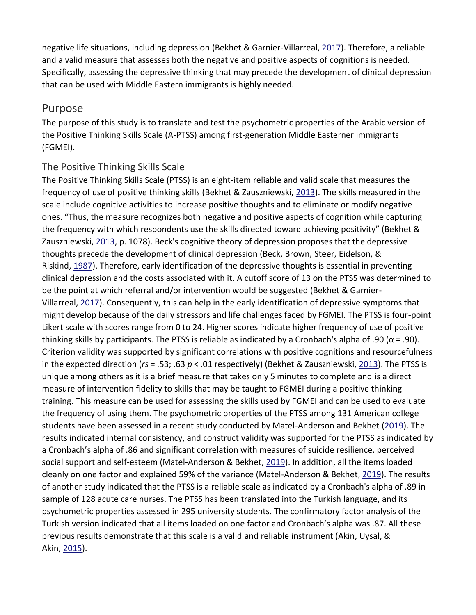negative life situations, including depression (Bekhet & Garnier-Villarreal, [2017\)](https://www.tandfonline.com/doi/full/10.1080/01612840.2019.1631415). Therefore, a reliable and a valid measure that assesses both the negative and positive aspects of cognitions is needed. Specifically, assessing the depressive thinking that may precede the development of clinical depression that can be used with Middle Eastern immigrants is highly needed.

## Purpose

The purpose of this study is to translate and test the psychometric properties of the Arabic version of the Positive Thinking Skills Scale (A-PTSS) among first-generation Middle Easterner immigrants (FGMEI).

#### The Positive Thinking Skills Scale

The Positive Thinking Skills Scale (PTSS) is an eight-item reliable and valid scale that measures the frequency of use of positive thinking skills (Bekhet & Zauszniewski, [2013\)](https://www.tandfonline.com/doi/full/10.1080/01612840.2019.1631415). The skills measured in the scale include cognitive activities to increase positive thoughts and to eliminate or modify negative ones. "Thus, the measure recognizes both negative and positive aspects of cognition while capturing the frequency with which respondents use the skills directed toward achieving positivity" (Bekhet & Zauszniewski, [2013,](https://www.tandfonline.com/doi/full/10.1080/01612840.2019.1631415) p. 1078). Beck's cognitive theory of depression proposes that the depressive thoughts precede the development of clinical depression (Beck, Brown, Steer, Eidelson, & Riskind, [1987\)](https://www.tandfonline.com/doi/full/10.1080/01612840.2019.1631415). Therefore, early identification of the depressive thoughts is essential in preventing clinical depression and the costs associated with it. A cutoff score of 13 on the PTSS was determined to be the point at which referral and/or intervention would be suggested (Bekhet & Garnier-Villarreal, [2017\)](https://www.tandfonline.com/doi/full/10.1080/01612840.2019.1631415). Consequently, this can help in the early identification of depressive symptoms that might develop because of the daily stressors and life challenges faced by FGMEI. The PTSS is four-point Likert scale with scores range from 0 to 24. Higher scores indicate higher frequency of use of positive thinking skills by participants. The PTSS is reliable as indicated by a Cronbach's alpha of .90 ( $\alpha$  = .90). Criterion validity was supported by significant correlations with positive cognitions and resourcefulness in the expected direction (*rs* = .53; .63 *p* < .01 respectively) (Bekhet & Zauszniewski, [2013\)](https://www.tandfonline.com/doi/full/10.1080/01612840.2019.1631415). The PTSS is unique among others as it is a brief measure that takes only 5 minutes to complete and is a direct measure of intervention fidelity to skills that may be taught to FGMEI during a positive thinking training. This measure can be used for assessing the skills used by FGMEI and can be used to evaluate the frequency of using them. The psychometric properties of the PTSS among 131 American college students have been assessed in a recent study conducted by Matel-Anderson and Bekhet [\(2019\)](https://www.tandfonline.com/doi/full/10.1080/01612840.2019.1631415). The results indicated internal consistency, and construct validity was supported for the PTSS as indicated by a Cronbach's alpha of .86 and significant correlation with measures of suicide resilience, perceived social support and self-esteem (Matel-Anderson & Bekhet, [2019\)](https://www.tandfonline.com/doi/full/10.1080/01612840.2019.1631415). In addition, all the items loaded cleanly on one factor and explained 59% of the variance (Matel-Anderson & Bekhet, [2019\)](https://www.tandfonline.com/doi/full/10.1080/01612840.2019.1631415). The results of another study indicated that the PTSS is a reliable scale as indicated by a Cronbach's alpha of .89 in sample of 128 acute care nurses. The PTSS has been translated into the Turkish language, and its psychometric properties assessed in 295 university students. The confirmatory factor analysis of the Turkish version indicated that all items loaded on one factor and Cronbach's alpha was .87. All these previous results demonstrate that this scale is a valid and reliable instrument (Akin, Uysal, & Akin, [2015\)](https://www.tandfonline.com/doi/full/10.1080/01612840.2019.1631415).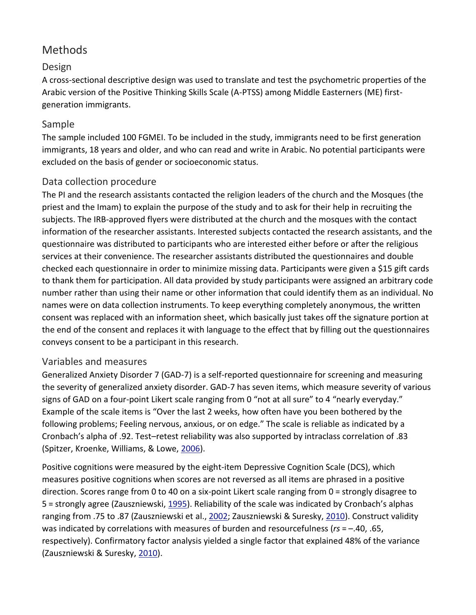## Methods

## Design

A cross-sectional descriptive design was used to translate and test the psychometric properties of the Arabic version of the Positive Thinking Skills Scale (A-PTSS) among Middle Easterners (ME) firstgeneration immigrants.

## Sample

The sample included 100 FGMEI. To be included in the study, immigrants need to be first generation immigrants, 18 years and older, and who can read and write in Arabic. No potential participants were excluded on the basis of gender or socioeconomic status.

## Data collection procedure

The PI and the research assistants contacted the religion leaders of the church and the Mosques (the priest and the Imam) to explain the purpose of the study and to ask for their help in recruiting the subjects. The IRB-approved flyers were distributed at the church and the mosques with the contact information of the researcher assistants. Interested subjects contacted the research assistants, and the questionnaire was distributed to participants who are interested either before or after the religious services at their convenience. The researcher assistants distributed the questionnaires and double checked each questionnaire in order to minimize missing data. Participants were given a \$15 gift cards to thank them for participation. All data provided by study participants were assigned an arbitrary code number rather than using their name or other information that could identify them as an individual. No names were on data collection instruments. To keep everything completely anonymous, the written consent was replaced with an information sheet, which basically just takes off the signature portion at the end of the consent and replaces it with language to the effect that by filling out the questionnaires conveys consent to be a participant in this research.

#### Variables and measures

Generalized Anxiety Disorder 7 (GAD-7) is a self-reported questionnaire for screening and measuring the severity of generalized anxiety disorder. GAD-7 has seven items, which measure severity of various signs of GAD on a four-point Likert scale ranging from 0 "not at all sure" to 4 "nearly everyday." Example of the scale items is "Over the last 2 weeks, how often have you been bothered by the following problems; Feeling nervous, anxious, or on edge." The scale is reliable as indicated by a Cronbach's alpha of .92. Test–retest reliability was also supported by intraclass correlation of .83 (Spitzer, Kroenke, Williams, & Lowe, [2006\)](https://www.tandfonline.com/doi/full/10.1080/01612840.2019.1631415).

Positive cognitions were measured by the eight-item Depressive Cognition Scale (DCS), which measures positive cognitions when scores are not reversed as all items are phrased in a positive direction. Scores range from 0 to 40 on a six-point Likert scale ranging from 0 = strongly disagree to 5 = strongly agree (Zauszniewski, [1995](https://www.tandfonline.com/doi/full/10.1080/01612840.2019.1631415)). Reliability of the scale was indicated by Cronbach's alphas ranging from .75 to .87 (Zauszniewski et al., [2002;](https://www.tandfonline.com/doi/full/10.1080/01612840.2019.1631415) Zauszniewski & Suresky, [2010\)](https://www.tandfonline.com/doi/full/10.1080/01612840.2019.1631415). Construct validity was indicated by correlations with measures of burden and resourcefulness (*rs* = –.40, .65, respectively). Confirmatory factor analysis yielded a single factor that explained 48% of the variance (Zauszniewski & Suresky, [2010\)](https://www.tandfonline.com/doi/full/10.1080/01612840.2019.1631415).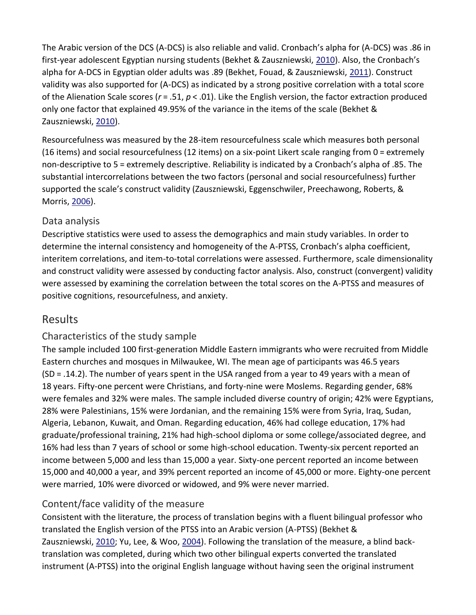The Arabic version of the DCS (A-DCS) is also reliable and valid. Cronbach's alpha for (A-DCS) was .86 in first-year adolescent Egyptian nursing students (Bekhet & Zauszniewski, [2010\)](https://www.tandfonline.com/doi/full/10.1080/01612840.2019.1631415). Also, the Cronbach's alpha for A-DCS in Egyptian older adults was .89 (Bekhet, Fouad, & Zauszniewski, [2011\)](https://www.tandfonline.com/doi/full/10.1080/01612840.2019.1631415). Construct validity was also supported for (A-DCS) as indicated by a strong positive correlation with a total score of the Alienation Scale scores (*r* = .51, *p* < .01). Like the English version, the factor extraction produced only one factor that explained 49.95% of the variance in the items of the scale (Bekhet & Zauszniewski, [2010\)](https://www.tandfonline.com/doi/full/10.1080/01612840.2019.1631415).

Resourcefulness was measured by the 28-item resourcefulness scale which measures both personal (16 items) and social resourcefulness (12 items) on a six-point Likert scale ranging from 0 = extremely non-descriptive to 5 = extremely descriptive. Reliability is indicated by a Cronbach's alpha of .85. The substantial intercorrelations between the two factors (personal and social resourcefulness) further supported the scale's construct validity (Zauszniewski, Eggenschwiler, Preechawong, Roberts, & Morris, [2006\)](https://www.tandfonline.com/doi/full/10.1080/01612840.2019.1631415).

## Data analysis

Descriptive statistics were used to assess the demographics and main study variables. In order to determine the internal consistency and homogeneity of the A-PTSS, Cronbach's alpha coefficient, interitem correlations, and item-to-total correlations were assessed. Furthermore, scale dimensionality and construct validity were assessed by conducting factor analysis. Also, construct (convergent) validity were assessed by examining the correlation between the total scores on the A-PTSS and measures of positive cognitions, resourcefulness, and anxiety.

## Results

## Characteristics of the study sample

The sample included 100 first-generation Middle Eastern immigrants who were recruited from Middle Eastern churches and mosques in Milwaukee, WI. The mean age of participants was 46.5 years (SD = .14.2). The number of years spent in the USA ranged from a year to 49 years with a mean of 18 years. Fifty-one percent were Christians, and forty-nine were Moslems. Regarding gender, 68% were females and 32% were males. The sample included diverse country of origin; 42% were Egyptians, 28% were Palestinians, 15% were Jordanian, and the remaining 15% were from Syria, Iraq, Sudan, Algeria, Lebanon, Kuwait, and Oman. Regarding education, 46% had college education, 17% had graduate/professional training, 21% had high-school diploma or some college/associated degree, and 16% had less than 7 years of school or some high-school education. Twenty-six percent reported an income between 5,000 and less than 15,000 a year. Sixty-one percent reported an income between 15,000 and 40,000 a year, and 39% percent reported an income of 45,000 or more. Eighty-one percent were married, 10% were divorced or widowed, and 9% were never married.

#### Content/face validity of the measure

Consistent with the literature, the process of translation begins with a fluent bilingual professor who translated the English version of the PTSS into an Arabic version (A-PTSS) (Bekhet & Zauszniewski, [2010;](https://www.tandfonline.com/doi/full/10.1080/01612840.2019.1631415) Yu, Lee, & Woo, [2004\)](https://www.tandfonline.com/doi/full/10.1080/01612840.2019.1631415). Following the translation of the measure, a blind backtranslation was completed, during which two other bilingual experts converted the translated instrument (A-PTSS) into the original English language without having seen the original instrument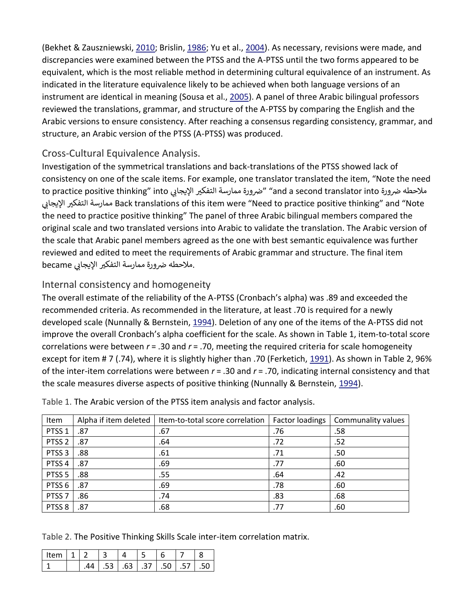(Bekhet & Zauszniewski, [2010;](https://www.tandfonline.com/doi/full/10.1080/01612840.2019.1631415) Brislin, [1986;](https://www.tandfonline.com/doi/full/10.1080/01612840.2019.1631415) Yu et al., [2004\)](https://www.tandfonline.com/doi/full/10.1080/01612840.2019.1631415). As necessary, revisions were made, and discrepancies were examined between the PTSS and the A-PTSS until the two forms appeared to be equivalent, which is the most reliable method in determining cultural equivalence of an instrument. As indicated in the literature equivalence likely to be achieved when both language versions of an instrument are identical in meaning (Sousa et al., [2005\)](https://www.tandfonline.com/doi/full/10.1080/01612840.2019.1631415). A panel of three Arabic bilingual professors reviewed the translations, grammar, and structure of the A-PTSS by comparing the English and the Arabic versions to ensure consistency. After reaching a consensus regarding consistency, grammar, and structure, an Arabic version of the PTSS (A-PTSS) was produced.

## Cross-Cultural Equivalence Analysis.

Investigation of the symmetrical translations and back-translations of the PTSS showed lack of consistency on one of the scale items. For example, one translator translated the item, "Note the need to practice positive thinking" into يملاحطه ضرورة ممارسة التفكير الإيجابي to practice positive thinking" into ممارسة التفكير الإيجابي Back translations of this item were "Need to practice positive thinking" and "Note the need to practice positive thinking" The panel of three Arabic bilingual members compared the original scale and two translated versions into Arabic to validate the translation. The Arabic version of the scale that Arabic panel members agreed as the one with best semantic equivalence was further reviewed and edited to meet the requirements of Arabic grammar and structure. The final item ملاحطه ضرورة ممارسة التفكير الإيجابي became

## Internal consistency and homogeneity

The overall estimate of the reliability of the A-PTSS (Cronbach's alpha) was .89 and exceeded the recommended criteria. As recommended in the literature, at least .70 is required for a newly developed scale (Nunnally & Bernstein, [1994\)](https://www.tandfonline.com/doi/full/10.1080/01612840.2019.1631415). Deletion of any one of the items of the A-PTSS did not improve the overall Cronbach's alpha coefficient for the scale. As shown in Table 1, item-to-total score correlations were between *r* = .30 and *r* = .70, meeting the required criteria for scale homogeneity except for item # 7 (.74), where it is slightly higher than .70 (Ferketich, [1991\)](https://www.tandfonline.com/doi/full/10.1080/01612840.2019.1631415). As shown in Table 2, 96% of the inter-item correlations were between *r* = .30 and *r* = .70, indicating internal consistency and that the scale measures diverse aspects of positive thinking (Nunnally & Bernstein, [1994\)](https://www.tandfonline.com/doi/full/10.1080/01612840.2019.1631415).

| Item              | Alpha if item deleted | Item-to-total score correlation | <b>Factor loadings</b> | Communality values |
|-------------------|-----------------------|---------------------------------|------------------------|--------------------|
| PTSS <sub>1</sub> | .87                   | .67                             | .76                    | .58                |
| PTSS <sub>2</sub> | .87                   | .64                             | .72                    | .52                |
| PTSS <sub>3</sub> | .88                   | .61                             | .71                    | .50                |
| PTSS <sub>4</sub> | .87                   | .69                             | .77                    | .60                |
| PTSS <sub>5</sub> | .88                   | .55                             | .64                    | .42                |
| PTSS <sub>6</sub> | .87                   | .69                             | .78                    | .60                |
| PTSS <sub>7</sub> | .86                   | .74                             | .83                    | .68                |
| PTSS <sub>8</sub> | .87                   | .68                             | .77                    | .60                |

Table 1. The Arabic version of the PTSS item analysis and factor analysis.

Table 2. The Positive Thinking Skills Scale inter-item correlation matrix.

| l Item |  |     |                 |        |  |  |
|--------|--|-----|-----------------|--------|--|--|
|        |  | .53 | 63 <sup>1</sup> | .37 50 |  |  |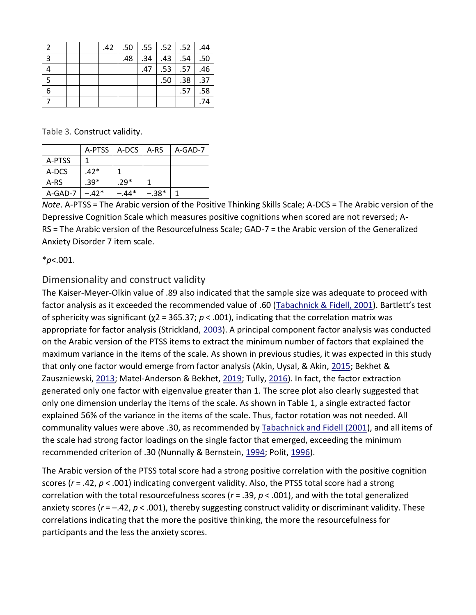| - 2            |  |                  | .44.   .50   .55   .52   .52   .44 |                  |                               |     |
|----------------|--|------------------|------------------------------------|------------------|-------------------------------|-----|
| $\overline{3}$ |  | .48 <sup>1</sup> |                                    |                  | $.34$   $.43$   $.54$   $.50$ |     |
|                |  |                  |                                    |                  | $.47$ .53 .57 .46             |     |
| 5              |  |                  |                                    | .50 <sub>1</sub> | $.38$ .37                     |     |
| 6              |  |                  |                                    |                  | .57                           | .58 |
|                |  |                  |                                    |                  |                               | .74 |

Table 3. Construct validity.

|         | A-PTSS   A-DCS |         | A-RS    | A-GAD-7 |
|---------|----------------|---------|---------|---------|
| A-PTSS  |                |         |         |         |
| A-DCS   | $.42*$         |         |         |         |
| A-RS    | $.39*$         | $.29*$  |         |         |
| A-GAD-7 | $-.42*$        | $-.44*$ | $-.38*$ |         |

*Note*. A-PTSS = The Arabic version of the Positive Thinking Skills Scale; A-DCS = The Arabic version of the Depressive Cognition Scale which measures positive cognitions when scored are not reversed; A-RS = The Arabic version of the Resourcefulness Scale; GAD-7 = the Arabic version of the Generalized Anxiety Disorder 7 item scale.

\**p*<.001.

#### Dimensionality and construct validity

The Kaiser-Meyer-Olkin value of .89 also indicated that the sample size was adequate to proceed with factor analysis as it exceeded the recommended value of .60 [\(Tabachnick & Fidell, 2001](https://www.tandfonline.com/doi/full/10.1080/01612840.2019.1631415)). Bartlett's test of sphericity was significant (χ2 = 365.37; *p* < .001), indicating that the correlation matrix was appropriate for factor analysis (Strickland, [2003\)](https://www.tandfonline.com/doi/full/10.1080/01612840.2019.1631415). A principal component factor analysis was conducted on the Arabic version of the PTSS items to extract the minimum number of factors that explained the maximum variance in the items of the scale. As shown in previous studies, it was expected in this study that only one factor would emerge from factor analysis (Akin, Uysal, & Akin, [2015;](https://www.tandfonline.com/doi/full/10.1080/01612840.2019.1631415) Bekhet & Zauszniewski, [2013;](https://www.tandfonline.com/doi/full/10.1080/01612840.2019.1631415) Matel-Anderson & Bekhet, [2019;](https://www.tandfonline.com/doi/full/10.1080/01612840.2019.1631415) Tully, [2016\)](https://www.tandfonline.com/doi/full/10.1080/01612840.2019.1631415). In fact, the factor extraction generated only one factor with eigenvalue greater than 1. The scree plot also clearly suggested that only one dimension underlay the items of the scale. As shown in Table 1, a single extracted factor explained 56% of the variance in the items of the scale. Thus, factor rotation was not needed. All communality values were above .30, as recommended by [Tabachnick and Fidell \(2001\)](https://www.tandfonline.com/doi/full/10.1080/01612840.2019.1631415), and all items of the scale had strong factor loadings on the single factor that emerged, exceeding the minimum recommended criterion of .30 (Nunnally & Bernstein, [1994;](https://www.tandfonline.com/doi/full/10.1080/01612840.2019.1631415) Polit, [1996\)](https://www.tandfonline.com/doi/full/10.1080/01612840.2019.1631415).

The Arabic version of the PTSS total score had a strong positive correlation with the positive cognition scores (*r* = .42, *p* < .001) indicating convergent validity. Also, the PTSS total score had a strong correlation with the total resourcefulness scores (*r* = .39, *p* < .001), and with the total generalized anxiety scores ( $r = -0.42$ ,  $p < 0.001$ ), thereby suggesting construct validity or discriminant validity. These correlations indicating that the more the positive thinking, the more the resourcefulness for participants and the less the anxiety scores.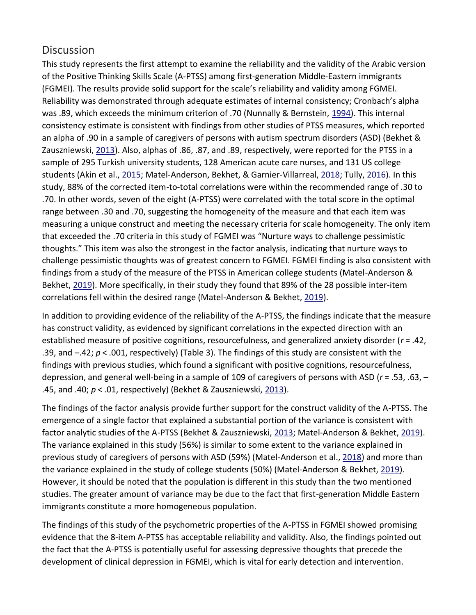## **Discussion**

This study represents the first attempt to examine the reliability and the validity of the Arabic version of the Positive Thinking Skills Scale (A-PTSS) among first-generation Middle-Eastern immigrants (FGMEI). The results provide solid support for the scale's reliability and validity among FGMEI. Reliability was demonstrated through adequate estimates of internal consistency; Cronbach's alpha was .89, which exceeds the minimum criterion of .70 (Nunnally & Bernstein, [1994\)](https://www.tandfonline.com/doi/full/10.1080/01612840.2019.1631415). This internal consistency estimate is consistent with findings from other studies of PTSS measures, which reported an alpha of .90 in a sample of caregivers of persons with autism spectrum disorders (ASD) (Bekhet & Zauszniewski, [2013\)](https://www.tandfonline.com/doi/full/10.1080/01612840.2019.1631415). Also, alphas of .86, .87, and .89, respectively, were reported for the PTSS in a sample of 295 Turkish university students, 128 American acute care nurses, and 131 US college students (Akin et al., [2015;](https://www.tandfonline.com/doi/full/10.1080/01612840.2019.1631415) Matel-Anderson, Bekhet, & Garnier-Villarreal, [2018;](https://www.tandfonline.com/doi/full/10.1080/01612840.2019.1631415) Tully, [2016\)](https://www.tandfonline.com/doi/full/10.1080/01612840.2019.1631415). In this study, 88% of the corrected item-to-total correlations were within the recommended range of .30 to .70. In other words, seven of the eight (A-PTSS) were correlated with the total score in the optimal range between .30 and .70, suggesting the homogeneity of the measure and that each item was measuring a unique construct and meeting the necessary criteria for scale homogeneity. The only item that exceeded the .70 criteria in this study of FGMEI was "Nurture ways to challenge pessimistic thoughts." This item was also the strongest in the factor analysis, indicating that nurture ways to challenge pessimistic thoughts was of greatest concern to FGMEI. FGMEI finding is also consistent with findings from a study of the measure of the PTSS in American college students (Matel-Anderson & Bekhet, [2019\)](https://www.tandfonline.com/doi/full/10.1080/01612840.2019.1631415). More specifically, in their study they found that 89% of the 28 possible inter-item correlations fell within the desired range (Matel-Anderson & Bekhet, [2019\)](https://www.tandfonline.com/doi/full/10.1080/01612840.2019.1631415).

In addition to providing evidence of the reliability of the A-PTSS, the findings indicate that the measure has construct validity, as evidenced by significant correlations in the expected direction with an established measure of positive cognitions, resourcefulness, and generalized anxiety disorder (*r* = .42, .39, and –.42; *p* < .001, respectively) (Table 3). The findings of this study are consistent with the findings with previous studies, which found a significant with positive cognitions, resourcefulness, depression, and general well-being in a sample of 109 of caregivers of persons with ASD (*r* = .53, .63, – .45, and .40; *p* < .01, respectively) (Bekhet & Zauszniewski, [2013\)](https://www.tandfonline.com/doi/full/10.1080/01612840.2019.1631415).

The findings of the factor analysis provide further support for the construct validity of the A-PTSS. The emergence of a single factor that explained a substantial portion of the variance is consistent with factor analytic studies of the A-PTSS (Bekhet & Zauszniewski, [2013;](https://www.tandfonline.com/doi/full/10.1080/01612840.2019.1631415) Matel-Anderson & Bekhet, [2019\)](https://www.tandfonline.com/doi/full/10.1080/01612840.2019.1631415). The variance explained in this study (56%) is similar to some extent to the variance explained in previous study of caregivers of persons with ASD (59%) (Matel-Anderson et al., [2018\)](https://www.tandfonline.com/doi/full/10.1080/01612840.2019.1631415) and more than the variance explained in the study of college students (50%) (Matel-Anderson & Bekhet, [2019\)](https://www.tandfonline.com/doi/full/10.1080/01612840.2019.1631415). However, it should be noted that the population is different in this study than the two mentioned studies. The greater amount of variance may be due to the fact that first-generation Middle Eastern immigrants constitute a more homogeneous population.

The findings of this study of the psychometric properties of the A-PTSS in FGMEI showed promising evidence that the 8-item A-PTSS has acceptable reliability and validity. Also, the findings pointed out the fact that the A-PTSS is potentially useful for assessing depressive thoughts that precede the development of clinical depression in FGMEI, which is vital for early detection and intervention.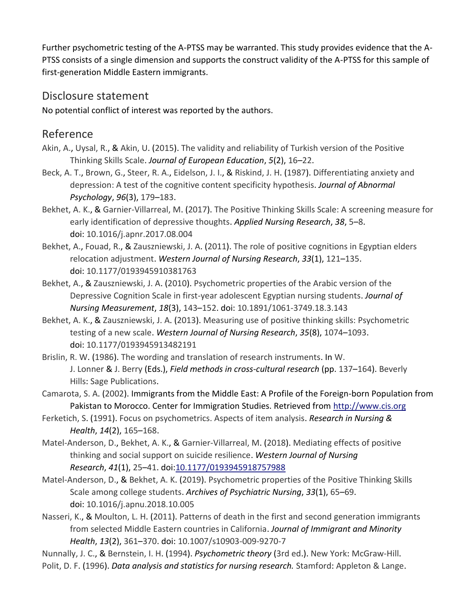Further psychometric testing of the A-PTSS may be warranted. This study provides evidence that the A-PTSS consists of a single dimension and supports the construct validity of the A-PTSS for this sample of first-generation Middle Eastern immigrants.

## Disclosure statement

No potential conflict of interest was reported by the authors.

## Reference

- Akin, A., Uysal, R., & Akin, U. (2015). The validity and reliability of Turkish version of the Positive Thinking Skills Scale. *Journal of European Education*, *5*(2), 16–22.
- Beck, A. T., Brown, G., Steer, R. A., Eidelson, J. I., & Riskind, J. H. (1987). Differentiating anxiety and depression: A test of the cognitive content specificity hypothesis. *Journal of Abnormal Psychology*, *96*(3), 179–183.
- Bekhet, A. K., & Garnier-Villarreal, M. (2017). The Positive Thinking Skills Scale: A screening measure for early identification of depressive thoughts. *Applied Nursing Research*, *38*, 5–8. doi: 10.1016/j.apnr.2017.08.004
- Bekhet, A., Fouad, R., & Zauszniewski, J. A. (2011). The role of positive cognitions in Egyptian elders relocation adjustment. *Western Journal of Nursing Research*, *33*(1), 121–135. doi: 10.1177/0193945910381763
- Bekhet, A., & Zauszniewski, J. A. (2010). Psychometric properties of the Arabic version of the Depressive Cognition Scale in first-year adolescent Egyptian nursing students. *Journal of Nursing Measurement*, *18*(3), 143–152. doi: 10.1891/1061-3749.18.3.143
- Bekhet, A. K., & Zauszniewski, J. A. (2013). Measuring use of positive thinking skills: Psychometric testing of a new scale. *Western Journal of Nursing Research*, *35*(8), 1074–1093. doi: 10.1177/0193945913482191
- Brislin, R. W. (1986). The wording and translation of research instruments. In W. J. Lonner & J. Berry (Eds.), *Field methods in cross-cultural research* (pp. 137–164). Beverly Hills: Sage Publications.
- Camarota, S. A. (2002). Immigrants from the Middle East: A Profile of the Foreign-born Population from Pakistan to Morocco. Center for Immigration Studies. Retrieved from [http://www.cis.org](http://www.cis.org/)
- Ferketich, S. (1991). Focus on psychometrics. Aspects of item analysis. *Research in Nursing & Health*, *14*(2), 165–168.
- Matel-Anderson, D., Bekhet, A. K., & Garnier-Villarreal, M. (2018). Mediating effects of positive thinking and social support on suicide resilience. *Western Journal of Nursing Research*, *41*(1), 25–41. doi[:10.1177/0193945918757988](http://10.0.4.153/0193945918757988)
- Matel-Anderson, D., & Bekhet, A. K. (2019). Psychometric properties of the Positive Thinking Skills Scale among college students. *Archives of Psychiatric Nursing*, *33*(1), 65–69. doi: 10.1016/j.apnu.2018.10.005
- Nasseri, K., & Moulton, L. H. (2011). Patterns of death in the first and second generation immigrants from selected Middle Eastern countries in California. *Journal of Immigrant and Minority Health*, *13*(2), 361–370. doi: 10.1007/s10903-009-9270-7
- Nunnally, J. C., & Bernstein, I. H. (1994). *Psychometric theory* (3rd ed.). New York: McGraw-Hill.
- Polit, D. F. (1996). *Data analysis and statistics for nursing research.* Stamford: Appleton & Lange.